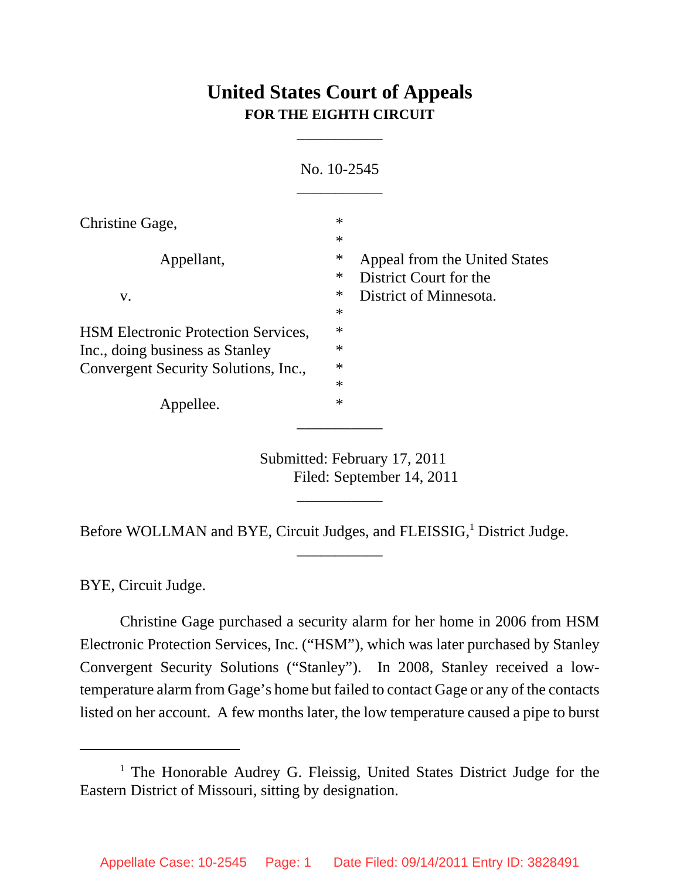## **United States Court of Appeals FOR THE EIGHTH CIRCUIT**

\_\_\_\_\_\_\_\_\_\_\_

|                                            | No. 10-2545      |                                                         |
|--------------------------------------------|------------------|---------------------------------------------------------|
| Christine Gage,                            | $\ast$<br>$\ast$ |                                                         |
| Appellant,                                 | ∗<br>$\ast$      | Appeal from the United States<br>District Court for the |
| V.                                         | ∗<br>$\ast$      | District of Minnesota.                                  |
| <b>HSM Electronic Protection Services,</b> | $\ast$           |                                                         |
| Inc., doing business as Stanley            | $\ast$           |                                                         |
| Convergent Security Solutions, Inc.,       | $\ast$           |                                                         |
|                                            | $\ast$           |                                                         |
| Appellee.                                  | $\ast$           |                                                         |

Submitted: February 17, 2011 Filed: September 14, 2011

Before WOLLMAN and BYE, Circuit Judges, and FLEISSIG,<sup>1</sup> District Judge.

\_\_\_\_\_\_\_\_\_\_\_

\_\_\_\_\_\_\_\_\_\_\_

BYE, Circuit Judge.

Christine Gage purchased a security alarm for her home in 2006 from HSM Electronic Protection Services, Inc. ("HSM"), which was later purchased by Stanley Convergent Security Solutions ("Stanley"). In 2008, Stanley received a lowtemperature alarm from Gage's home but failed to contact Gage or any of the contacts listed on her account. A few months later, the low temperature caused a pipe to burst

<sup>&</sup>lt;sup>1</sup> The Honorable Audrey G. Fleissig, United States District Judge for the Eastern District of Missouri, sitting by designation.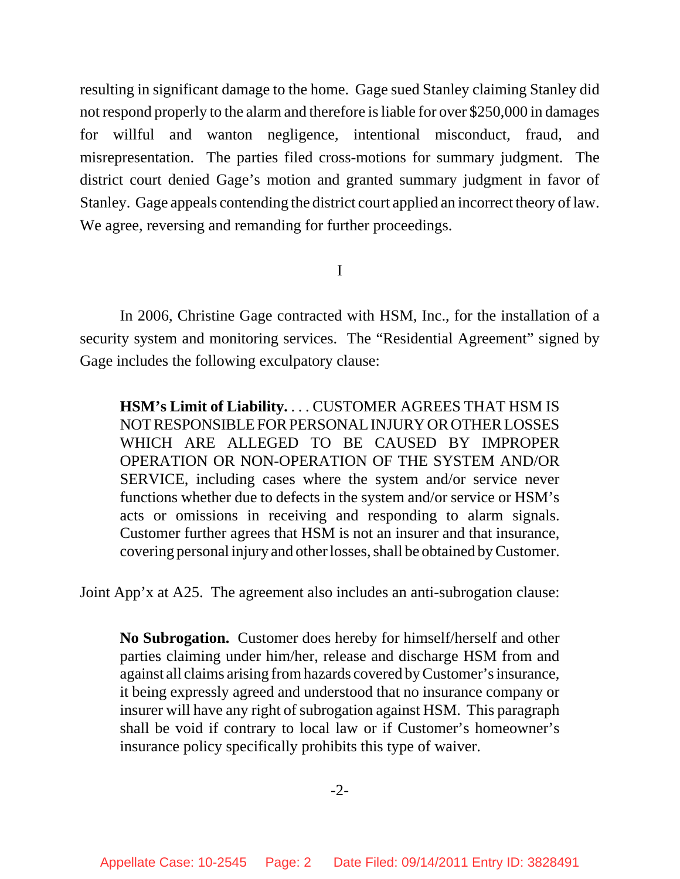resulting in significant damage to the home. Gage sued Stanley claiming Stanley did not respond properly to the alarm and therefore is liable for over \$250,000 in damages for willful and wanton negligence, intentional misconduct, fraud, and misrepresentation. The parties filed cross-motions for summary judgment. The district court denied Gage's motion and granted summary judgment in favor of Stanley. Gage appeals contending the district court applied an incorrect theory of law. We agree, reversing and remanding for further proceedings.

I

In 2006, Christine Gage contracted with HSM, Inc., for the installation of a security system and monitoring services. The "Residential Agreement" signed by Gage includes the following exculpatory clause:

**HSM's Limit of Liability.** . . . CUSTOMER AGREES THAT HSM IS NOT RESPONSIBLE FOR PERSONAL INJURY OR OTHER LOSSES WHICH ARE ALLEGED TO BE CAUSED BY IMPROPER OPERATION OR NON-OPERATION OF THE SYSTEM AND/OR SERVICE, including cases where the system and/or service never functions whether due to defects in the system and/or service or HSM's acts or omissions in receiving and responding to alarm signals. Customer further agrees that HSM is not an insurer and that insurance, covering personal injury and other losses, shall be obtained by Customer.

Joint App'x at A25. The agreement also includes an anti-subrogation clause:

**No Subrogation.** Customer does hereby for himself/herself and other parties claiming under him/her, release and discharge HSM from and against all claims arising from hazards covered by Customer's insurance, it being expressly agreed and understood that no insurance company or insurer will have any right of subrogation against HSM. This paragraph shall be void if contrary to local law or if Customer's homeowner's insurance policy specifically prohibits this type of waiver.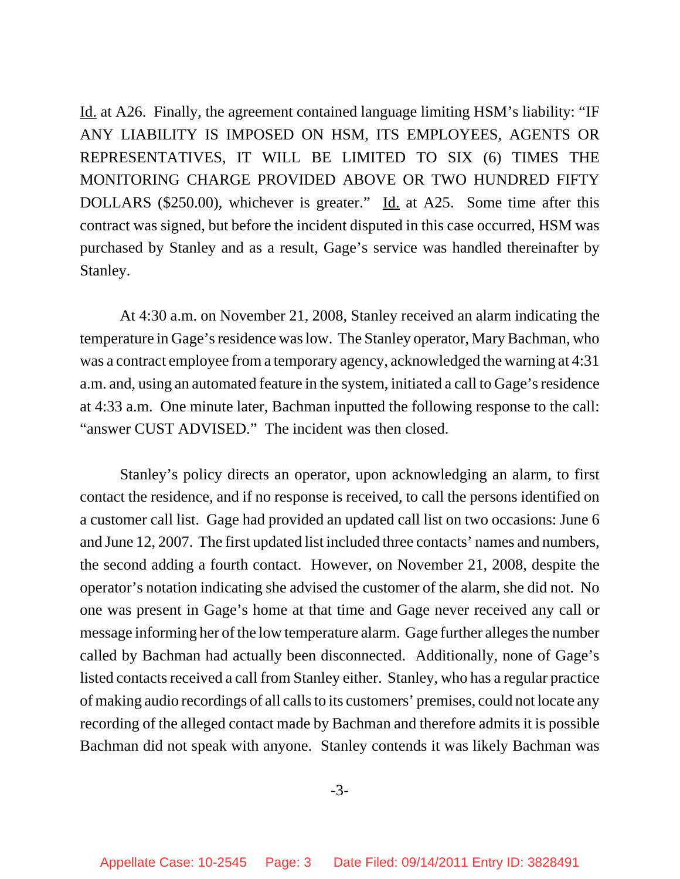Id. at A26. Finally, the agreement contained language limiting HSM's liability: "IF ANY LIABILITY IS IMPOSED ON HSM, ITS EMPLOYEES, AGENTS OR REPRESENTATIVES, IT WILL BE LIMITED TO SIX (6) TIMES THE MONITORING CHARGE PROVIDED ABOVE OR TWO HUNDRED FIFTY DOLLARS (\$250.00), whichever is greater." Id. at A25. Some time after this contract was signed, but before the incident disputed in this case occurred, HSM was purchased by Stanley and as a result, Gage's service was handled thereinafter by Stanley.

At 4:30 a.m. on November 21, 2008, Stanley received an alarm indicating the temperature in Gage's residence was low. The Stanley operator, Mary Bachman, who was a contract employee from a temporary agency, acknowledged the warning at 4:31 a.m. and, using an automated feature in the system, initiated a call to Gage's residence at 4:33 a.m. One minute later, Bachman inputted the following response to the call: "answer CUST ADVISED." The incident was then closed.

Stanley's policy directs an operator, upon acknowledging an alarm, to first contact the residence, and if no response is received, to call the persons identified on a customer call list. Gage had provided an updated call list on two occasions: June 6 and June 12, 2007. The first updated list included three contacts' names and numbers, the second adding a fourth contact. However, on November 21, 2008, despite the operator's notation indicating she advised the customer of the alarm, she did not. No one was present in Gage's home at that time and Gage never received any call or message informing her of the low temperature alarm. Gage further alleges the number called by Bachman had actually been disconnected. Additionally, none of Gage's listed contacts received a call from Stanley either. Stanley, who has a regular practice of making audio recordings of all calls to its customers' premises, could not locate any recording of the alleged contact made by Bachman and therefore admits it is possible Bachman did not speak with anyone. Stanley contends it was likely Bachman was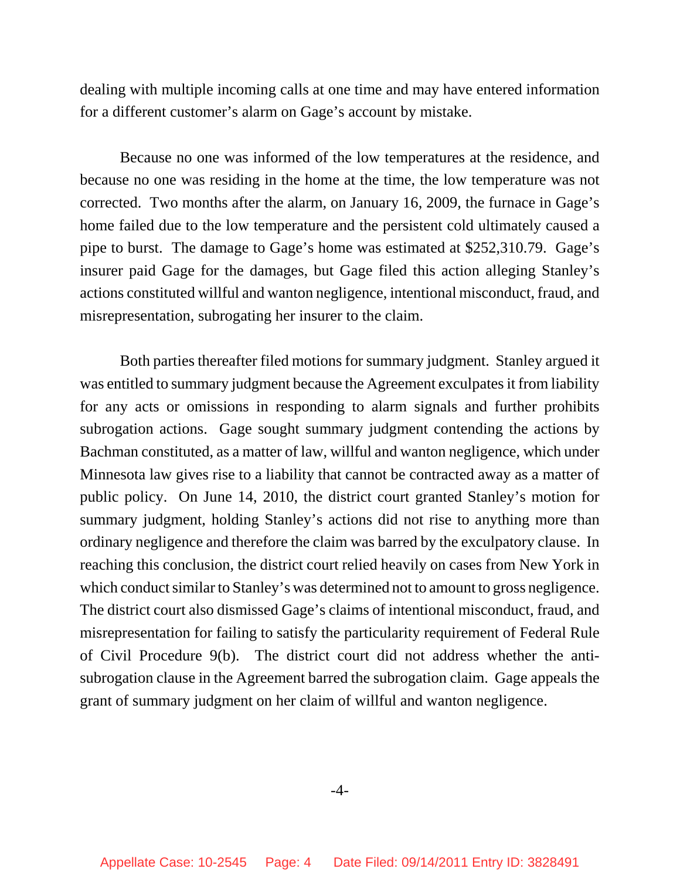dealing with multiple incoming calls at one time and may have entered information for a different customer's alarm on Gage's account by mistake.

Because no one was informed of the low temperatures at the residence, and because no one was residing in the home at the time, the low temperature was not corrected. Two months after the alarm, on January 16, 2009, the furnace in Gage's home failed due to the low temperature and the persistent cold ultimately caused a pipe to burst. The damage to Gage's home was estimated at \$252,310.79. Gage's insurer paid Gage for the damages, but Gage filed this action alleging Stanley's actions constituted willful and wanton negligence, intentional misconduct, fraud, and misrepresentation, subrogating her insurer to the claim.

Both parties thereafter filed motions for summary judgment. Stanley argued it was entitled to summary judgment because the Agreement exculpates it from liability for any acts or omissions in responding to alarm signals and further prohibits subrogation actions. Gage sought summary judgment contending the actions by Bachman constituted, as a matter of law, willful and wanton negligence, which under Minnesota law gives rise to a liability that cannot be contracted away as a matter of public policy. On June 14, 2010, the district court granted Stanley's motion for summary judgment, holding Stanley's actions did not rise to anything more than ordinary negligence and therefore the claim was barred by the exculpatory clause. In reaching this conclusion, the district court relied heavily on cases from New York in which conduct similar to Stanley's was determined not to amount to gross negligence. The district court also dismissed Gage's claims of intentional misconduct, fraud, and misrepresentation for failing to satisfy the particularity requirement of Federal Rule of Civil Procedure 9(b). The district court did not address whether the antisubrogation clause in the Agreement barred the subrogation claim. Gage appeals the grant of summary judgment on her claim of willful and wanton negligence.

-4-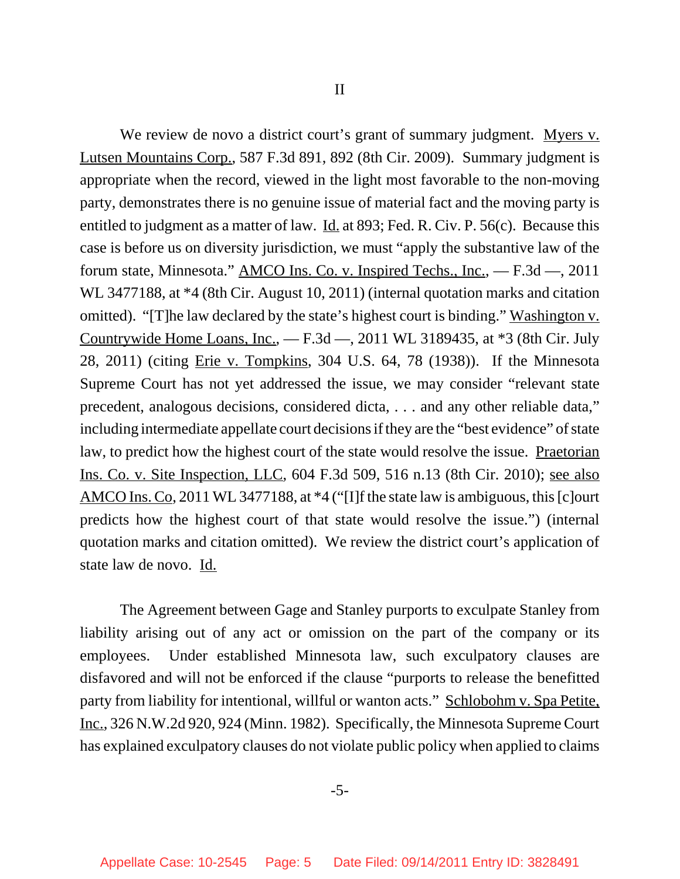We review de novo a district court's grant of summary judgment. Myers v. Lutsen Mountains Corp., 587 F.3d 891, 892 (8th Cir. 2009). Summary judgment is appropriate when the record, viewed in the light most favorable to the non-moving party, demonstrates there is no genuine issue of material fact and the moving party is entitled to judgment as a matter of law. <u>Id.</u> at 893; Fed. R. Civ. P. 56(c). Because this case is before us on diversity jurisdiction, we must "apply the substantive law of the forum state, Minnesota." AMCO Ins. Co. v. Inspired Techs., Inc., — F.3d —, 2011 WL 3477188, at \*4 (8th Cir. August 10, 2011) (internal quotation marks and citation omitted). "[T]he law declared by the state's highest court is binding." Washington v. Countrywide Home Loans, Inc., — F.3d —, 2011 WL 3189435, at \*3 (8th Cir. July 28, 2011) (citing Erie v. Tompkins, 304 U.S. 64, 78 (1938)). If the Minnesota Supreme Court has not yet addressed the issue, we may consider "relevant state precedent, analogous decisions, considered dicta, . . . and any other reliable data," including intermediate appellate court decisions if they are the "best evidence" of state law, to predict how the highest court of the state would resolve the issue. Praetorian Ins. Co. v. Site Inspection, LLC, 604 F.3d 509, 516 n.13 (8th Cir. 2010); see also AMCO Ins. Co, 2011 WL 3477188, at \*4 ("[I]f the state law is ambiguous, this [c]ourt predicts how the highest court of that state would resolve the issue.") (internal quotation marks and citation omitted). We review the district court's application of state law de novo. Id.

The Agreement between Gage and Stanley purports to exculpate Stanley from liability arising out of any act or omission on the part of the company or its employees. Under established Minnesota law, such exculpatory clauses are disfavored and will not be enforced if the clause "purports to release the benefitted party from liability for intentional, willful or wanton acts." Schlobohm v. Spa Petite, Inc., 326 N.W.2d 920, 924 (Minn. 1982). Specifically, the Minnesota Supreme Court has explained exculpatory clauses do not violate public policy when applied to claims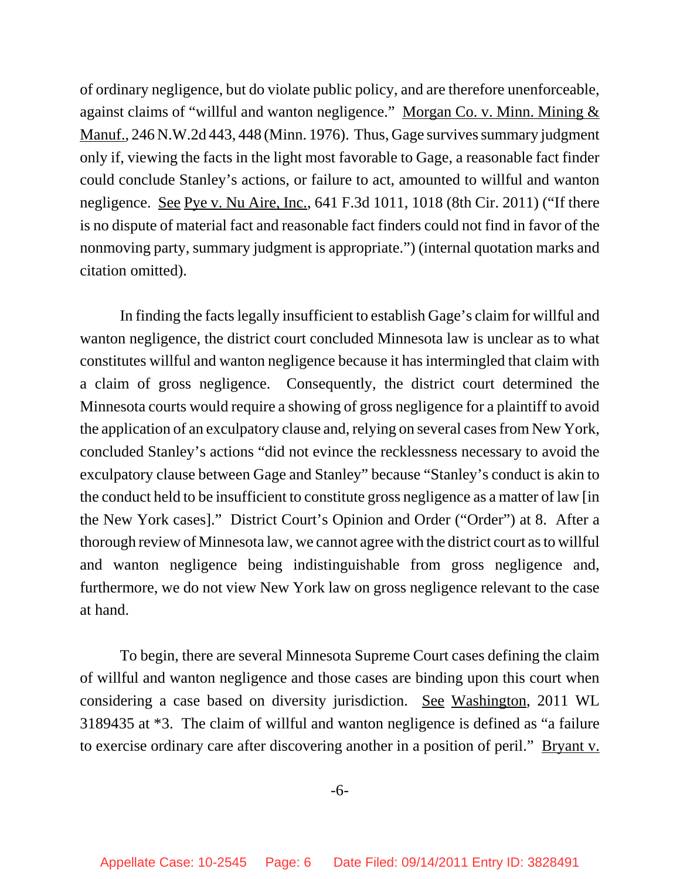of ordinary negligence, but do violate public policy, and are therefore unenforceable, against claims of "willful and wanton negligence." Morgan Co. v. Minn. Mining & Manuf., 246 N.W.2d 443, 448 (Minn. 1976). Thus, Gage survives summary judgment only if, viewing the facts in the light most favorable to Gage, a reasonable fact finder could conclude Stanley's actions, or failure to act, amounted to willful and wanton negligence. <u>See Pye v. Nu Aire, Inc.</u>, 641 F.3d 1011, 1018 (8th Cir. 2011) ("If there is no dispute of material fact and reasonable fact finders could not find in favor of the nonmoving party, summary judgment is appropriate.") (internal quotation marks and citation omitted).

In finding the facts legally insufficient to establish Gage's claim for willful and wanton negligence, the district court concluded Minnesota law is unclear as to what constitutes willful and wanton negligence because it has intermingled that claim with a claim of gross negligence. Consequently, the district court determined the Minnesota courts would require a showing of gross negligence for a plaintiff to avoid the application of an exculpatory clause and, relying on several cases from New York, concluded Stanley's actions "did not evince the recklessness necessary to avoid the exculpatory clause between Gage and Stanley" because "Stanley's conduct is akin to the conduct held to be insufficient to constitute gross negligence as a matter of law [in the New York cases]." District Court's Opinion and Order ("Order") at 8. After a thorough review of Minnesota law, we cannot agree with the district court as to willful and wanton negligence being indistinguishable from gross negligence and, furthermore, we do not view New York law on gross negligence relevant to the case at hand.

To begin, there are several Minnesota Supreme Court cases defining the claim of willful and wanton negligence and those cases are binding upon this court when considering a case based on diversity jurisdiction. See Washington, 2011 WL 3189435 at \*3. The claim of willful and wanton negligence is defined as "a failure to exercise ordinary care after discovering another in a position of peril." Bryant v.

-6-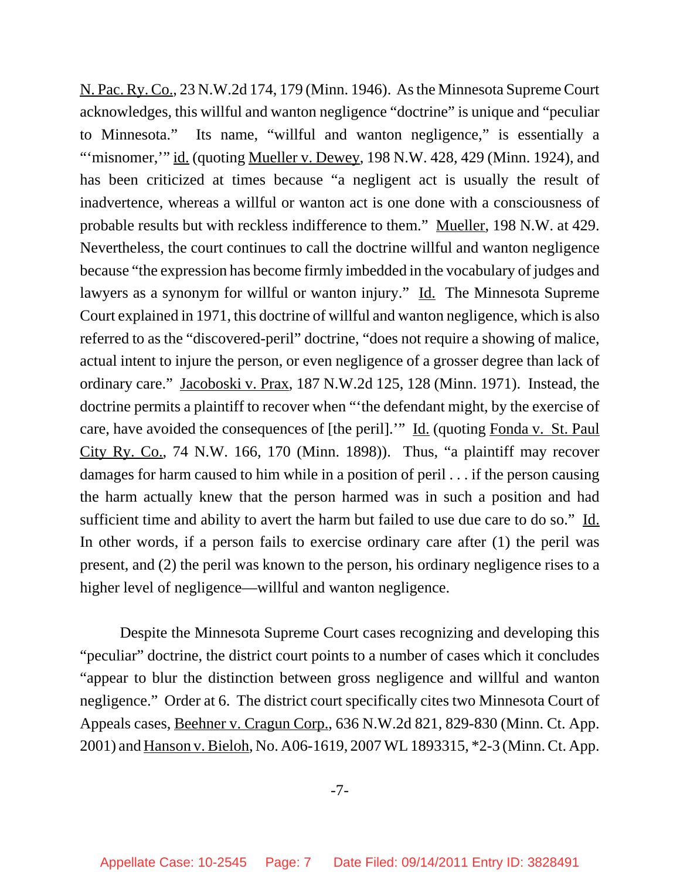N. Pac. Ry. Co., 23 N.W.2d 174, 179 (Minn. 1946). As the Minnesota Supreme Court acknowledges, this willful and wanton negligence "doctrine" is unique and "peculiar to Minnesota." Its name, "willful and wanton negligence," is essentially a "'misnomer," id. (quoting Mueller v. Dewey, 198 N.W. 428, 429 (Minn. 1924), and has been criticized at times because "a negligent act is usually the result of inadvertence, whereas a willful or wanton act is one done with a consciousness of probable results but with reckless indifference to them." Mueller, 198 N.W. at 429. Nevertheless, the court continues to call the doctrine willful and wanton negligence because "the expression has become firmly imbedded in the vocabulary of judges and lawyers as a synonym for willful or wanton injury." Id. The Minnesota Supreme Court explained in 1971, this doctrine of willful and wanton negligence, which is also referred to as the "discovered-peril" doctrine, "does not require a showing of malice, actual intent to injure the person, or even negligence of a grosser degree than lack of ordinary care." Jacoboski v. Prax, 187 N.W.2d 125, 128 (Minn. 1971). Instead, the doctrine permits a plaintiff to recover when "'the defendant might, by the exercise of care, have avoided the consequences of [the peril].'" Id. (quoting Fonda v. St. Paul City Ry. Co., 74 N.W. 166, 170 (Minn. 1898)). Thus, "a plaintiff may recover damages for harm caused to him while in a position of peril . . . if the person causing the harm actually knew that the person harmed was in such a position and had sufficient time and ability to avert the harm but failed to use due care to do so." Id. In other words, if a person fails to exercise ordinary care after (1) the peril was present, and (2) the peril was known to the person, his ordinary negligence rises to a higher level of negligence—willful and wanton negligence.

Despite the Minnesota Supreme Court cases recognizing and developing this "peculiar" doctrine, the district court points to a number of cases which it concludes "appear to blur the distinction between gross negligence and willful and wanton negligence." Order at 6. The district court specifically cites two Minnesota Court of Appeals cases, Beehner v. Cragun Corp., 636 N.W.2d 821, 829-830 (Minn. Ct. App. 2001) and Hanson v. Bieloh, No. A06-1619, 2007 WL 1893315, \*2-3 (Minn. Ct. App.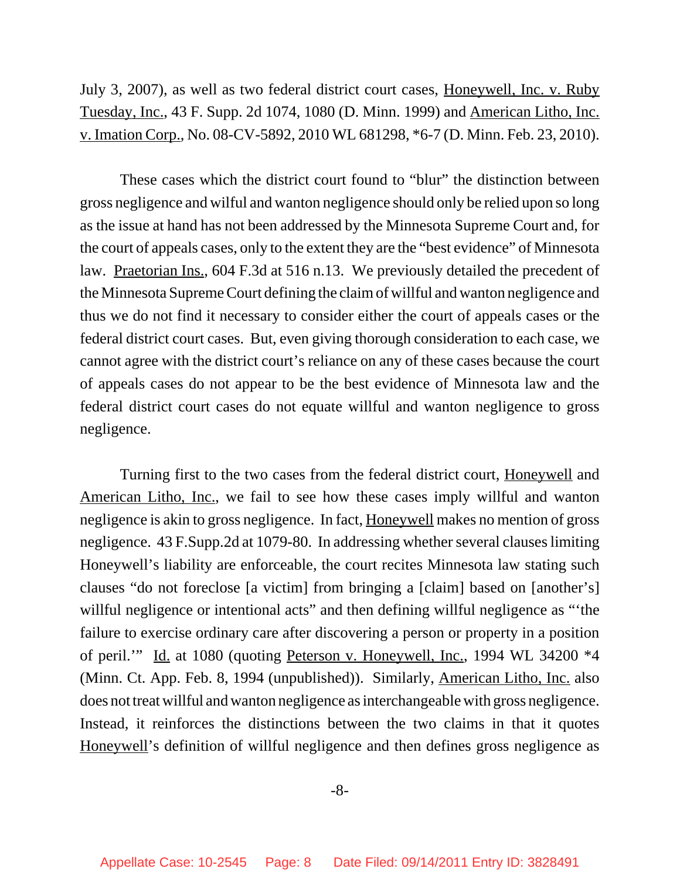July 3, 2007), as well as two federal district court cases, Honeywell, Inc. v. Ruby Tuesday, Inc., 43 F. Supp. 2d 1074, 1080 (D. Minn. 1999) and American Litho, Inc. v. Imation Corp., No. 08-CV-5892, 2010 WL 681298, \*6-7 (D. Minn. Feb. 23, 2010).

These cases which the district court found to "blur" the distinction between gross negligence and wilful and wanton negligence should only be relied upon so long as the issue at hand has not been addressed by the Minnesota Supreme Court and, for the court of appeals cases, only to the extent they are the "best evidence" of Minnesota law. Praetorian Ins., 604 F.3d at 516 n.13. We previously detailed the precedent of the Minnesota Supreme Court defining the claim of willful and wanton negligence and thus we do not find it necessary to consider either the court of appeals cases or the federal district court cases. But, even giving thorough consideration to each case, we cannot agree with the district court's reliance on any of these cases because the court of appeals cases do not appear to be the best evidence of Minnesota law and the federal district court cases do not equate willful and wanton negligence to gross negligence.

Turning first to the two cases from the federal district court, Honeywell and American Litho, Inc., we fail to see how these cases imply willful and wanton negligence is akin to gross negligence. In fact, Honeywell makes no mention of gross negligence. 43 F.Supp.2d at 1079-80. In addressing whether several clauses limiting Honeywell's liability are enforceable, the court recites Minnesota law stating such clauses "do not foreclose [a victim] from bringing a [claim] based on [another's] willful negligence or intentional acts" and then defining willful negligence as "the failure to exercise ordinary care after discovering a person or property in a position of peril.'" Id. at 1080 (quoting Peterson v. Honeywell, Inc., 1994 WL 34200 \*4 (Minn. Ct. App. Feb. 8, 1994 (unpublished)). Similarly, American Litho, Inc. also does not treat willful and wanton negligence as interchangeable with gross negligence. Instead, it reinforces the distinctions between the two claims in that it quotes Honeywell's definition of willful negligence and then defines gross negligence as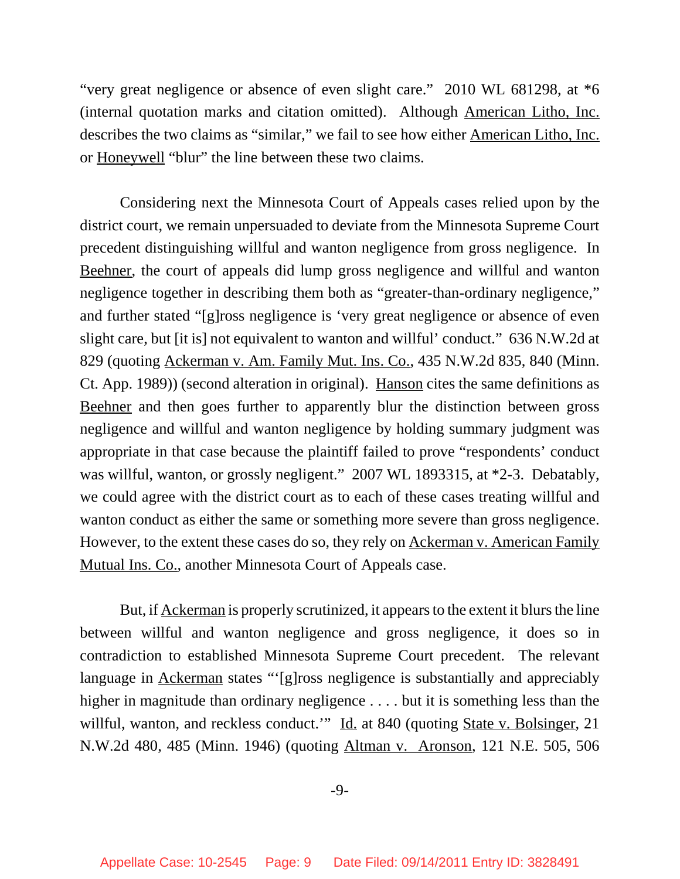"very great negligence or absence of even slight care." 2010 WL 681298, at \*6 (internal quotation marks and citation omitted). Although American Litho, Inc. describes the two claims as "similar," we fail to see how either American Litho, Inc. or Honeywell "blur" the line between these two claims.

Considering next the Minnesota Court of Appeals cases relied upon by the district court, we remain unpersuaded to deviate from the Minnesota Supreme Court precedent distinguishing willful and wanton negligence from gross negligence. In Beehner, the court of appeals did lump gross negligence and willful and wanton negligence together in describing them both as "greater-than-ordinary negligence," and further stated "[g]ross negligence is 'very great negligence or absence of even slight care, but [it is] not equivalent to wanton and willful' conduct." 636 N.W.2d at 829 (quoting Ackerman v. Am. Family Mut. Ins. Co., 435 N.W.2d 835, 840 (Minn. Ct. App. 1989)) (second alteration in original). Hanson cites the same definitions as Beehner and then goes further to apparently blur the distinction between gross negligence and willful and wanton negligence by holding summary judgment was appropriate in that case because the plaintiff failed to prove "respondents' conduct was willful, wanton, or grossly negligent." 2007 WL 1893315, at \*2-3. Debatably, we could agree with the district court as to each of these cases treating willful and wanton conduct as either the same or something more severe than gross negligence. However, to the extent these cases do so, they rely on Ackerman v. American Family Mutual Ins. Co., another Minnesota Court of Appeals case.

But, if Ackerman is properly scrutinized, it appears to the extent it blurs the line between willful and wanton negligence and gross negligence, it does so in contradiction to established Minnesota Supreme Court precedent. The relevant language in Ackerman states "'[g]ross negligence is substantially and appreciably higher in magnitude than ordinary negligence ... but it is something less than the willful, wanton, and reckless conduct." Id. at 840 (quoting State v. Bolsinger, 21) N.W.2d 480, 485 (Minn. 1946) (quoting Altman v. Aronson, 121 N.E. 505, 506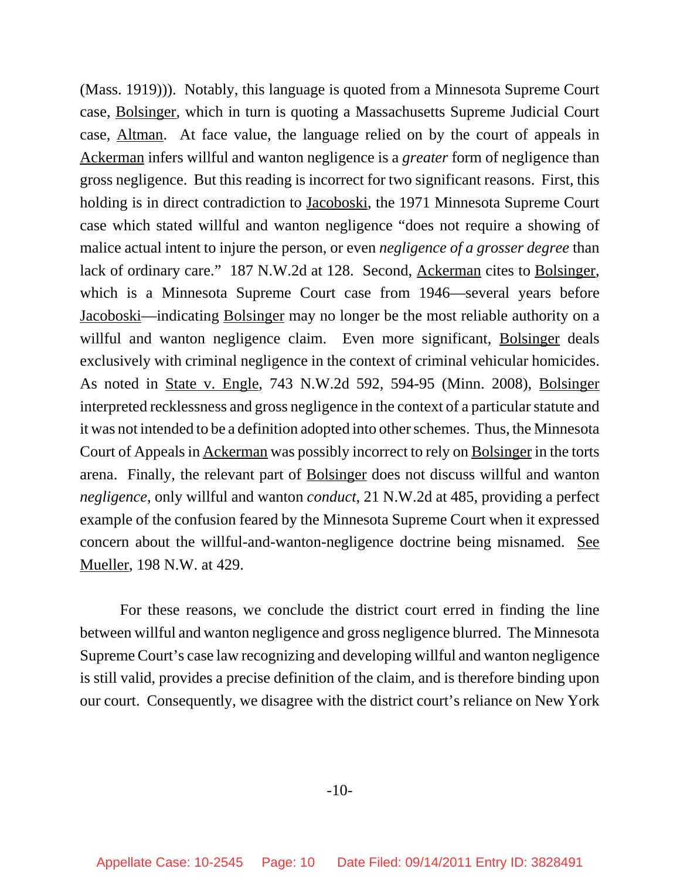(Mass. 1919))). Notably, this language is quoted from a Minnesota Supreme Court case, Bolsinger, which in turn is quoting a Massachusetts Supreme Judicial Court case, Altman. At face value, the language relied on by the court of appeals in Ackerman infers willful and wanton negligence is a *greater* form of negligence than gross negligence. But this reading is incorrect for two significant reasons. First, this holding is in direct contradiction to Jacoboski, the 1971 Minnesota Supreme Court case which stated willful and wanton negligence "does not require a showing of malice actual intent to injure the person, or even *negligence of a grosser degree* than lack of ordinary care." 187 N.W.2d at 128. Second, Ackerman cites to Bolsinger, which is a Minnesota Supreme Court case from 1946—several years before Jacoboski—indicating Bolsinger may no longer be the most reliable authority on a willful and wanton negligence claim. Even more significant, Bolsinger deals exclusively with criminal negligence in the context of criminal vehicular homicides. As noted in State v. Engle, 743 N.W.2d 592, 594-95 (Minn. 2008), Bolsinger interpreted recklessness and gross negligence in the context of a particular statute and it was not intended to be a definition adopted into other schemes. Thus, the Minnesota Court of Appeals in Ackerman was possibly incorrect to rely on Bolsinger in the torts arena. Finally, the relevant part of Bolsinger does not discuss willful and wanton *negligence*, only willful and wanton *conduct*, 21 N.W.2d at 485, providing a perfect example of the confusion feared by the Minnesota Supreme Court when it expressed concern about the willful-and-wanton-negligence doctrine being misnamed. See Mueller, 198 N.W. at 429.

For these reasons, we conclude the district court erred in finding the line between willful and wanton negligence and gross negligence blurred. The Minnesota Supreme Court's case law recognizing and developing willful and wanton negligence is still valid, provides a precise definition of the claim, and is therefore binding upon our court. Consequently, we disagree with the district court's reliance on New York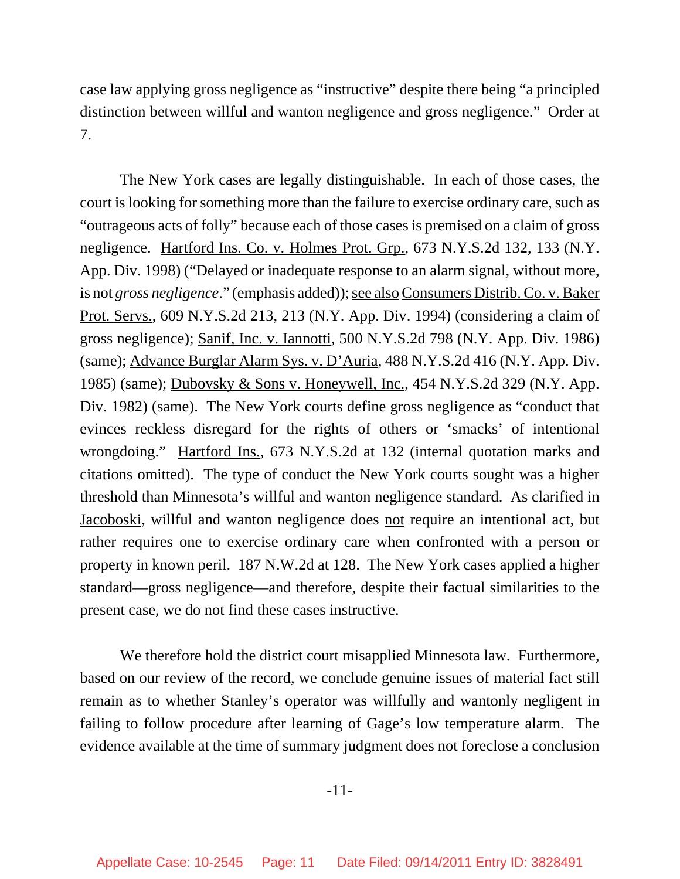case law applying gross negligence as "instructive" despite there being "a principled distinction between willful and wanton negligence and gross negligence." Order at 7.

The New York cases are legally distinguishable. In each of those cases, the court is looking for something more than the failure to exercise ordinary care, such as "outrageous acts of folly" because each of those cases is premised on a claim of gross negligence. Hartford Ins. Co. v. Holmes Prot. Grp., 673 N.Y.S.2d 132, 133 (N.Y. App. Div. 1998) ("Delayed or inadequate response to an alarm signal, without more, is not *gross negligence*." (emphasis added)); see also Consumers Distrib. Co. v. Baker Prot. Servs., 609 N.Y.S.2d 213, 213 (N.Y. App. Div. 1994) (considering a claim of gross negligence); Sanif, Inc. v. Iannotti, 500 N.Y.S.2d 798 (N.Y. App. Div. 1986) (same); Advance Burglar Alarm Sys. v. D'Auria, 488 N.Y.S.2d 416 (N.Y. App. Div. 1985) (same); Dubovsky & Sons v. Honeywell, Inc., 454 N.Y.S.2d 329 (N.Y. App. Div. 1982) (same). The New York courts define gross negligence as "conduct that evinces reckless disregard for the rights of others or 'smacks' of intentional wrongdoing." Hartford Ins., 673 N.Y.S.2d at 132 (internal quotation marks and citations omitted). The type of conduct the New York courts sought was a higher threshold than Minnesota's willful and wanton negligence standard. As clarified in Jacoboski, willful and wanton negligence does not require an intentional act, but rather requires one to exercise ordinary care when confronted with a person or property in known peril. 187 N.W.2d at 128. The New York cases applied a higher standard—gross negligence—and therefore, despite their factual similarities to the present case, we do not find these cases instructive.

We therefore hold the district court misapplied Minnesota law. Furthermore, based on our review of the record, we conclude genuine issues of material fact still remain as to whether Stanley's operator was willfully and wantonly negligent in failing to follow procedure after learning of Gage's low temperature alarm. The evidence available at the time of summary judgment does not foreclose a conclusion